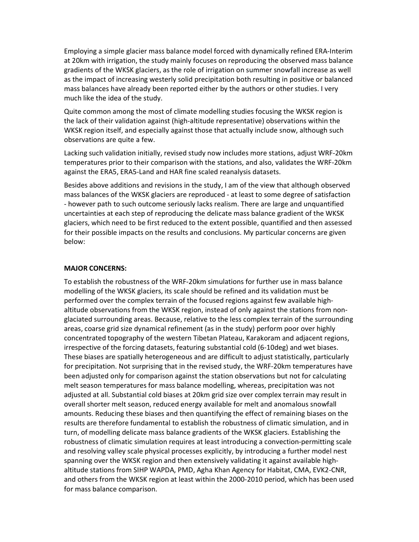Employing a simple glacier mass balance model forced with dynamically refined ERA-Interim at 20km with irrigation, the study mainly focuses on reproducing the observed mass balance gradients of the WKSK glaciers, as the role of irrigation on summer snowfall increase as well as the impact of increasing westerly solid precipitation both resulting in positive or balanced mass balances have already been reported either by the authors or other studies. I very much like the idea of the study.

Quite common among the most of climate modelling studies focusing the WKSK region is the lack of their validation against (high-altitude representative) observations within the WKSK region itself, and especially against those that actually include snow, although such observations are quite a few.

Lacking such validation initially, revised study now includes more stations, adjust WRF-20km temperatures prior to their comparison with the stations, and also, validates the WRF-20km against the ERA5, ERA5-Land and HAR fine scaled reanalysis datasets.

Besides above additions and revisions in the study, I am of the view that although observed mass balances of the WKSK glaciers are reproduced - at least to some degree of satisfaction - however path to such outcome seriously lacks realism. There are large and unquantified uncertainties at each step of reproducing the delicate mass balance gradient of the WKSK glaciers, which need to be first reduced to the extent possible, quantified and then assessed for their possible impacts on the results and conclusions. My particular concerns are given below:

## MAJOR CONCERNS:

To establish the robustness of the WRF-20km simulations for further use in mass balance modelling of the WKSK glaciers, its scale should be refined and its validation must be performed over the complex terrain of the focused regions against few available highaltitude observations from the WKSK region, instead of only against the stations from nonglaciated surrounding areas. Because, relative to the less complex terrain of the surrounding areas, coarse grid size dynamical refinement (as in the study) perform poor over highly concentrated topography of the western Tibetan Plateau, Karakoram and adjacent regions, irrespective of the forcing datasets, featuring substantial cold (6-10deg) and wet biases. These biases are spatially heterogeneous and are difficult to adjust statistically, particularly for precipitation. Not surprising that in the revised study, the WRF-20km temperatures have been adjusted only for comparison against the station observations but not for calculating melt season temperatures for mass balance modelling, whereas, precipitation was not adjusted at all. Substantial cold biases at 20km grid size over complex terrain may result in overall shorter melt season, reduced energy available for melt and anomalous snowfall amounts. Reducing these biases and then quantifying the effect of remaining biases on the results are therefore fundamental to establish the robustness of climatic simulation, and in turn, of modelling delicate mass balance gradients of the WKSK glaciers. Establishing the robustness of climatic simulation requires at least introducing a convection-permitting scale and resolving valley scale physical processes explicitly, by introducing a further model nest spanning over the WKSK region and then extensively validating it against available highaltitude stations from SIHP WAPDA, PMD, Agha Khan Agency for Habitat, CMA, EVK2-CNR, and others from the WKSK region at least within the 2000-2010 period, which has been used for mass balance comparison.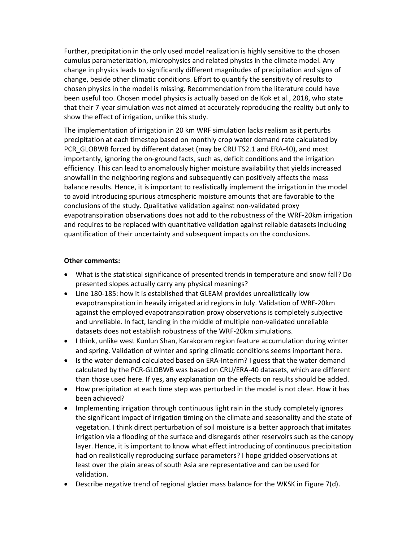Further, precipitation in the only used model realization is highly sensitive to the chosen cumulus parameterization, microphysics and related physics in the climate model. Any change in physics leads to significantly different magnitudes of precipitation and signs of change, beside other climatic conditions. Effort to quantify the sensitivity of results to chosen physics in the model is missing. Recommendation from the literature could have been useful too. Chosen model physics is actually based on de Kok et al., 2018, who state that their 7-year simulation was not aimed at accurately reproducing the reality but only to show the effect of irrigation, unlike this study.

The implementation of irrigation in 20 km WRF simulation lacks realism as it perturbs precipitation at each timestep based on monthly crop water demand rate calculated by PCR\_GLOBWB forced by different dataset (may be CRU TS2.1 and ERA-40), and most importantly, ignoring the on-ground facts, such as, deficit conditions and the irrigation efficiency. This can lead to anomalously higher moisture availability that yields increased snowfall in the neighboring regions and subsequently can positively affects the mass balance results. Hence, it is important to realistically implement the irrigation in the model to avoid introducing spurious atmospheric moisture amounts that are favorable to the conclusions of the study. Qualitative validation against non-validated proxy evapotranspiration observations does not add to the robustness of the WRF-20km irrigation and requires to be replaced with quantitative validation against reliable datasets including quantification of their uncertainty and subsequent impacts on the conclusions.

## Other comments:

- What is the statistical significance of presented trends in temperature and snow fall? Do presented slopes actually carry any physical meanings?
- Line 180-185: how it is established that GLEAM provides unrealistically low evapotranspiration in heavily irrigated arid regions in July. Validation of WRF-20km against the employed evapotranspiration proxy observations is completely subjective and unreliable. In fact, landing in the middle of multiple non-validated unreliable datasets does not establish robustness of the WRF-20km simulations.
- I think, unlike west Kunlun Shan, Karakoram region feature accumulation during winter and spring. Validation of winter and spring climatic conditions seems important here.
- Is the water demand calculated based on ERA-Interim? I guess that the water demand calculated by the PCR-GLOBWB was based on CRU/ERA-40 datasets, which are different than those used here. If yes, any explanation on the effects on results should be added.
- How precipitation at each time step was perturbed in the model is not clear. How it has been achieved?
- Implementing irrigation through continuous light rain in the study completely ignores the significant impact of irrigation timing on the climate and seasonality and the state of vegetation. I think direct perturbation of soil moisture is a better approach that imitates irrigation via a flooding of the surface and disregards other reservoirs such as the canopy layer. Hence, it is important to know what effect introducing of continuous precipitation had on realistically reproducing surface parameters? I hope gridded observations at least over the plain areas of south Asia are representative and can be used for validation.
- **•** Describe negative trend of regional glacier mass balance for the WKSK in Figure 7(d).